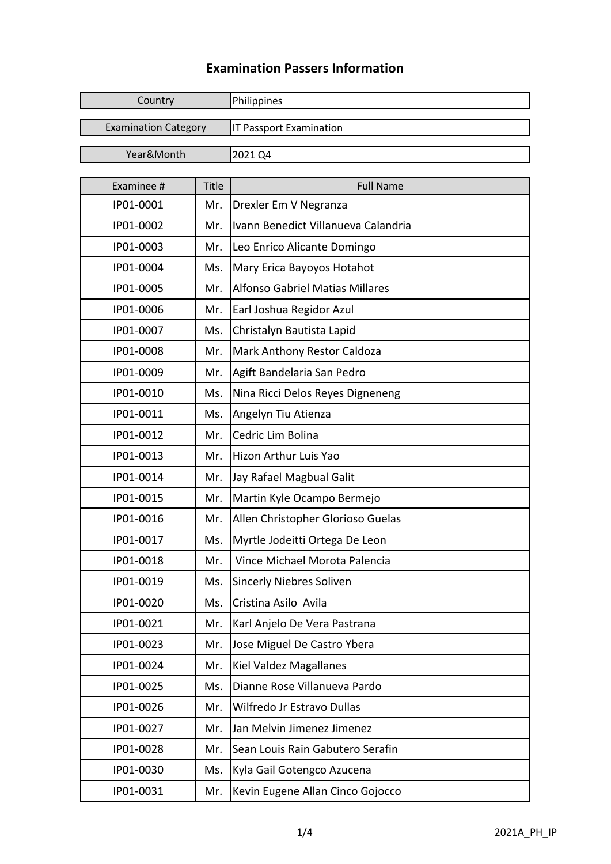## **Examination Passers Information**

| Country                     |       | Philippines                            |
|-----------------------------|-------|----------------------------------------|
| <b>Examination Category</b> |       | <b>IT Passport Examination</b>         |
| Year&Month                  |       | 2021 Q4                                |
|                             |       |                                        |
| Examinee #                  | Title | <b>Full Name</b>                       |
| IP01-0001                   | Mr.   | Drexler Em V Negranza                  |
| IP01-0002                   | Mr.   | Ivann Benedict Villanueva Calandria    |
| IP01-0003                   | Mr.   | Leo Enrico Alicante Domingo            |
| IP01-0004                   | Ms.   | Mary Erica Bayoyos Hotahot             |
| IP01-0005                   | Mr.   | <b>Alfonso Gabriel Matias Millares</b> |
| IP01-0006                   | Mr.   | Earl Joshua Regidor Azul               |
| IP01-0007                   | Ms.   | Christalyn Bautista Lapid              |
| IP01-0008                   | Mr.   | Mark Anthony Restor Caldoza            |
| IP01-0009                   | Mr.   | Agift Bandelaria San Pedro             |
| IP01-0010                   | Ms.   | Nina Ricci Delos Reyes Digneneng       |
| IP01-0011                   | Ms.   | Angelyn Tiu Atienza                    |
| IP01-0012                   | Mr.   | Cedric Lim Bolina                      |
| IP01-0013                   | Mr.   | Hizon Arthur Luis Yao                  |
| IP01-0014                   | Mr.   | Jay Rafael Magbual Galit               |
| IP01-0015                   | Mr.   | Martin Kyle Ocampo Bermejo             |
| IP01-0016                   | Mr.   | Allen Christopher Glorioso Guelas      |
| IP01-0017                   | Ms.   | Myrtle Jodeitti Ortega De Leon         |
| IP01-0018                   | Mr.   | Vince Michael Morota Palencia          |
| IP01-0019                   | Ms.   | <b>Sincerly Niebres Soliven</b>        |
| IP01-0020                   | Ms.   | Cristina Asilo Avila                   |
| IP01-0021                   | Mr.   | Karl Anjelo De Vera Pastrana           |
| IP01-0023                   | Mr.   | Jose Miguel De Castro Ybera            |
| IP01-0024                   | Mr.   | Kiel Valdez Magallanes                 |
| IP01-0025                   | Ms.   | Dianne Rose Villanueva Pardo           |
| IP01-0026                   | Mr.   | Wilfredo Jr Estravo Dullas             |
| IP01-0027                   | Mr.   | Jan Melvin Jimenez Jimenez             |
| IP01-0028                   | Mr.   | Sean Louis Rain Gabutero Serafin       |
| IP01-0030                   | Ms.   | Kyla Gail Gotengco Azucena             |
| IP01-0031                   | Mr.   | Kevin Eugene Allan Cinco Gojocco       |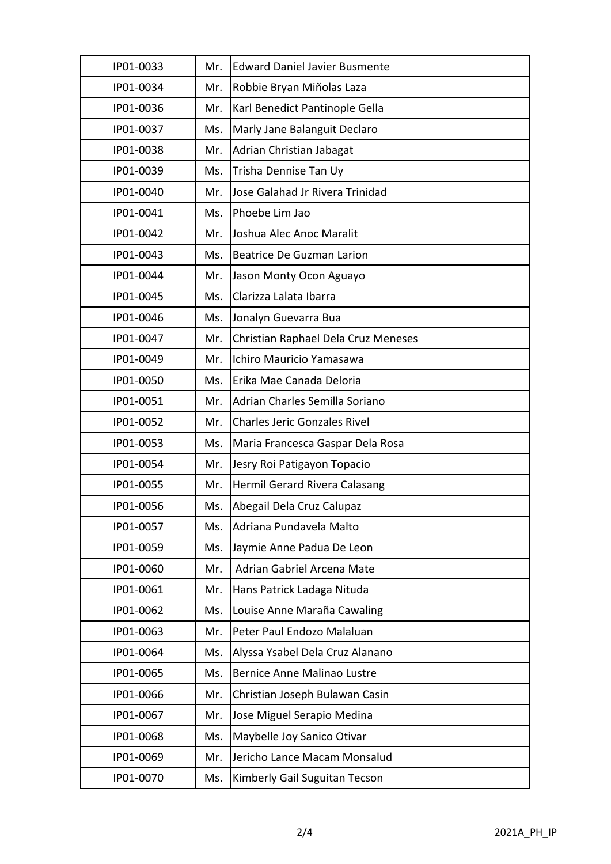| IP01-0033 | Mr. | <b>Edward Daniel Javier Busmente</b> |
|-----------|-----|--------------------------------------|
| IP01-0034 | Mr. | Robbie Bryan Miñolas Laza            |
| IP01-0036 | Mr. | Karl Benedict Pantinople Gella       |
| IP01-0037 | Ms. | Marly Jane Balanguit Declaro         |
| IP01-0038 | Mr. | Adrian Christian Jabagat             |
| IP01-0039 | Ms. | Trisha Dennise Tan Uy                |
| IP01-0040 | Mr. | Jose Galahad Jr Rivera Trinidad      |
| IP01-0041 | Ms. | Phoebe Lim Jao                       |
| IP01-0042 | Mr. | Joshua Alec Anoc Maralit             |
| IP01-0043 | Ms. | <b>Beatrice De Guzman Larion</b>     |
| IP01-0044 | Mr. | Jason Monty Ocon Aguayo              |
| IP01-0045 | Ms. | Clarizza Lalata Ibarra               |
| IP01-0046 | Ms. | Jonalyn Guevarra Bua                 |
| IP01-0047 | Mr. | Christian Raphael Dela Cruz Meneses  |
| IP01-0049 | Mr. | Ichiro Mauricio Yamasawa             |
| IP01-0050 | Ms. | Erika Mae Canada Deloria             |
| IP01-0051 | Mr. | Adrian Charles Semilla Soriano       |
| IP01-0052 | Mr. | <b>Charles Jeric Gonzales Rivel</b>  |
| IP01-0053 | Ms. | Maria Francesca Gaspar Dela Rosa     |
| IP01-0054 | Mr. | Jesry Roi Patigayon Topacio          |
| IP01-0055 | Mr. | Hermil Gerard Rivera Calasang        |
| IP01-0056 | Ms. | Abegail Dela Cruz Calupaz            |
| IP01-0057 | Ms. | Adriana Pundavela Malto              |
| IP01-0059 | Ms. | Jaymie Anne Padua De Leon            |
| IP01-0060 | Mr. | Adrian Gabriel Arcena Mate           |
| IP01-0061 | Mr. | Hans Patrick Ladaga Nituda           |
| IP01-0062 | Ms. | Louise Anne Maraña Cawaling          |
| IP01-0063 | Mr. | Peter Paul Endozo Malaluan           |
| IP01-0064 | Ms. | Alyssa Ysabel Dela Cruz Alanano      |
| IP01-0065 | Ms. | Bernice Anne Malinao Lustre          |
| IP01-0066 | Mr. | Christian Joseph Bulawan Casin       |
| IP01-0067 | Mr. | Jose Miguel Serapio Medina           |
| IP01-0068 | Ms. | Maybelle Joy Sanico Otivar           |
| IP01-0069 | Mr. | Jericho Lance Macam Monsalud         |
| IP01-0070 | Ms. | Kimberly Gail Suguitan Tecson        |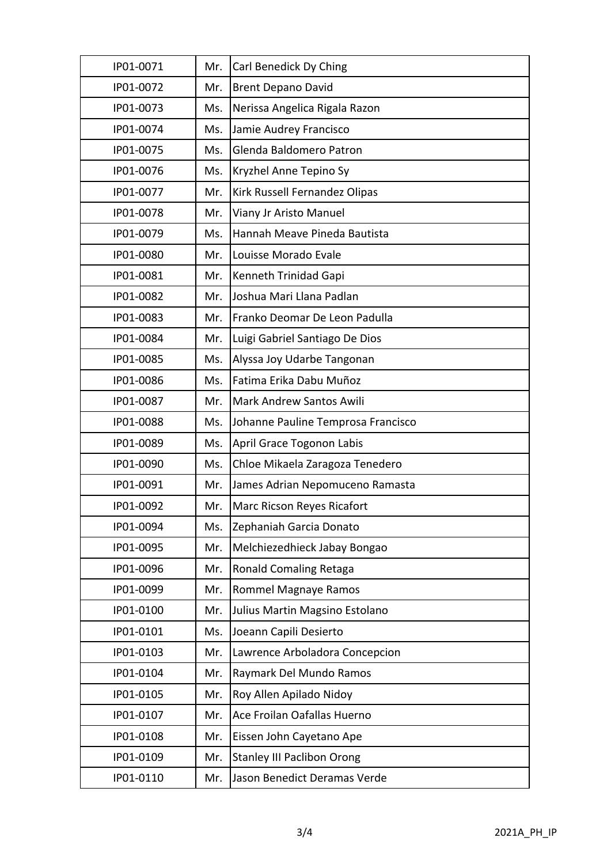| IP01-0071 | Mr. | Carl Benedick Dy Ching             |
|-----------|-----|------------------------------------|
| IP01-0072 | Mr. | <b>Brent Depano David</b>          |
| IP01-0073 | Ms. | Nerissa Angelica Rigala Razon      |
| IP01-0074 | Ms. | Jamie Audrey Francisco             |
| IP01-0075 | Ms. | Glenda Baldomero Patron            |
| IP01-0076 | Ms. | Kryzhel Anne Tepino Sy             |
| IP01-0077 | Mr. | Kirk Russell Fernandez Olipas      |
| IP01-0078 | Mr. | Viany Jr Aristo Manuel             |
| IP01-0079 | Ms. | Hannah Meave Pineda Bautista       |
| IP01-0080 | Mr. | Louisse Morado Evale               |
| IP01-0081 | Mr. | Kenneth Trinidad Gapi              |
| IP01-0082 | Mr. | Joshua Mari Llana Padlan           |
| IP01-0083 | Mr. | Franko Deomar De Leon Padulla      |
| IP01-0084 | Mr. | Luigi Gabriel Santiago De Dios     |
| IP01-0085 | Ms. | Alyssa Joy Udarbe Tangonan         |
| IP01-0086 | Ms. | Fatima Erika Dabu Muñoz            |
| IP01-0087 | Mr. | <b>Mark Andrew Santos Awili</b>    |
| IP01-0088 | Ms. | Johanne Pauline Temprosa Francisco |
| IP01-0089 | Ms. | April Grace Togonon Labis          |
| IP01-0090 | Ms. | Chloe Mikaela Zaragoza Tenedero    |
| IP01-0091 | Mr. | James Adrian Nepomuceno Ramasta    |
| IP01-0092 | Mr. | Marc Ricson Reyes Ricafort         |
| IP01-0094 | Ms. | Zephaniah Garcia Donato            |
| IP01-0095 | Mr. | Melchiezedhieck Jabay Bongao       |
| IP01-0096 | Mr. | Ronald Comaling Retaga             |
| IP01-0099 | Mr. | Rommel Magnaye Ramos               |
| IP01-0100 | Mr. | Julius Martin Magsino Estolano     |
| IP01-0101 | Ms. | Joeann Capili Desierto             |
| IP01-0103 | Mr. | Lawrence Arboladora Concepcion     |
| IP01-0104 | Mr. | Raymark Del Mundo Ramos            |
| IP01-0105 | Mr. | Roy Allen Apilado Nidoy            |
| IP01-0107 | Mr. | Ace Froilan Oafallas Huerno        |
| IP01-0108 | Mr. | Eissen John Cayetano Ape           |
| IP01-0109 | Mr. | <b>Stanley III Paclibon Orong</b>  |
| IP01-0110 | Mr. | Jason Benedict Deramas Verde       |